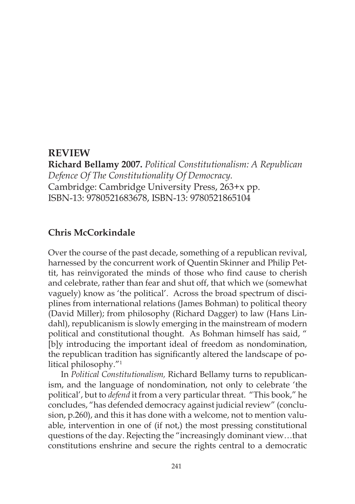**Richard Bellamy 2007.** *Political Constitutionalism: A Republican Defence Of The Constitutionality Of Democracy.* Cambridge: Cambridge University Press, 263+x pp. ISBN-13: 9780521683678, ISBN-13: 9780521865104

## **Chris McCorkindale**

Over the course of the past decade, something of a republican revival, harnessed by the concurrent work of Quentin Skinner and Philip Pettit, has reinvigorated the minds of those who find cause to cherish and celebrate, rather than fear and shut off, that which we (somewhat vaguely) know as 'the political'. Across the broad spectrum of disciplines from international relations (James Bohman) to political theory (David Miller); from philosophy (Richard Dagger) to law (Hans Lindahl), republicanism is slowly emerging in the mainstream of modern political and constitutional thought. As Bohman himself has said, " [b]y introducing the important ideal of freedom as nondomination, the republican tradition has significantly altered the landscape of political philosophy."1

In *Political Constitutionalism,* Richard Bellamy turns to republicanism, and the language of nondomination, not only to celebrate 'the political', but to *defend* it from a very particular threat. "This book," he concludes, "has defended democracy against judicial review" (conclusion, p.260), and this it has done with a welcome, not to mention valuable, intervention in one of (if not,) the most pressing constitutional questions of the day. Rejecting the "increasingly dominant view…that constitutions enshrine and secure the rights central to a democratic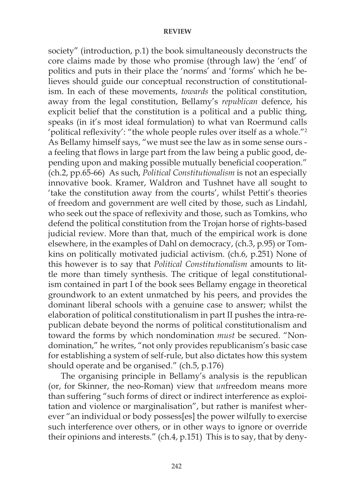society" (introduction, p.1) the book simultaneously deconstructs the core claims made by those who promise (through law) the 'end' of politics and puts in their place the 'norms' and 'forms' which he believes should guide our conceptual reconstruction of constitutionalism. In each of these movements, *towards* the political constitution, away from the legal constitution, Bellamy's *republican* defence, his explicit belief that the constitution is a political and a public thing, speaks (in it's most ideal formulation) to what van Roermund calls 'political reflexivity': "the whole people rules over itself as a whole."<sup>2</sup> As Bellamy himself says, "we must see the law as in some sense ours a feeling that flows in large part from the law being a public good, depending upon and making possible mutually beneficial cooperation." (ch.2, pp.65-66) As such, *Political Constitutionalism* is not an especially innovative book. Kramer, Waldron and Tushnet have all sought to 'take the constitution away from the courts', whilst Pettit's theories of freedom and government are well cited by those, such as Lindahl, who seek out the space of reflexivity and those, such as Tomkins, who defend the political constitution from the Trojan horse of rights-based judicial review. More than that, much of the empirical work is done elsewhere, in the examples of Dahl on democracy, (ch.3, p.95) or Tomkins on politically motivated judicial activism. (ch.6, p.251) None of this however is to say that *Political Constitutionalism* amounts to little more than timely synthesis. The critique of legal constitutionalism contained in part I of the book sees Bellamy engage in theoretical groundwork to an extent unmatched by his peers, and provides the dominant liberal schools with a genuine case to answer; whilst the elaboration of political constitutionalism in part II pushes the intra-republican debate beyond the norms of political constitutionalism and toward the forms by which nondomination *must* be secured. "Nondomination," he writes, "not only provides republicanism's basic case for establishing a system of self-rule, but also dictates how this system should operate and be organised." (ch.5, p.176)

The organising principle in Bellamy's analysis is the republican (or, for Skinner, the neo-Roman) view that *un*freedom means more than suffering "such forms of direct or indirect interference as exploitation and violence or marginalisation", but rather is manifest wherever "an individual or body possess[es] the power wilfully to exercise such interference over others, or in other ways to ignore or override their opinions and interests." (ch.4, p.151) This is to say, that by deny-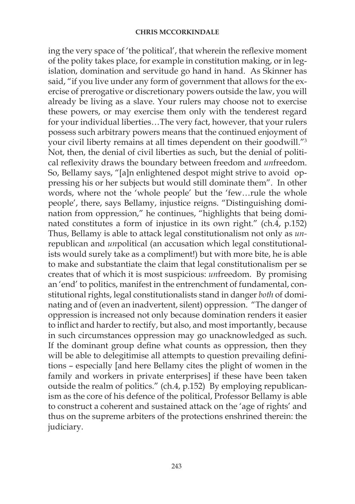ing the very space of 'the political', that wherein the reflexive moment of the polity takes place, for example in constitution making, or in legislation, domination and servitude go hand in hand. As Skinner has said, "if you live under any form of government that allows for the exercise of prerogative or discretionary powers outside the law, you will already be living as a slave. Your rulers may choose not to exercise these powers, or may exercise them only with the tenderest regard for your individual liberties…The very fact, however, that your rulers possess such arbitrary powers means that the continued enjoyment of your civil liberty remains at all times dependent on their goodwill."3 Not, then, the denial of civil liberties as such, but the denial of political reflexivity draws the boundary between freedom and *un*freedom. So, Bellamy says, "[a]n enlightened despot might strive to avoid oppressing his or her subjects but would still dominate them". In other words, where not the 'whole people' but the 'few…rule the whole people', there, says Bellamy, injustice reigns. "Distinguishing domination from oppression," he continues, "highlights that being dominated constitutes a form of injustice in its own right." (ch.4, p.152) Thus, Bellamy is able to attack legal constitutionalism not only as *un*republican and *un*political (an accusation which legal constitutionalists would surely take as a compliment!) but with more bite, he is able to make and substantiate the claim that legal constitutionalism per se creates that of which it is most suspicious: *un*freedom. By promising an 'end' to politics, manifest in the entrenchment of fundamental, constitutional rights, legal constitutionalists stand in danger *both* of dominating and of (even an inadvertent, silent) oppression. "The danger of oppression is increased not only because domination renders it easier to inflict and harder to rectify, but also, and most importantly, because in such circumstances oppression may go unacknowledged as such. If the dominant group define what counts as oppression, then they will be able to delegitimise all attempts to question prevailing definitions – especially [and here Bellamy cites the plight of women in the family and workers in private enterprises] if these have been taken outside the realm of politics." (ch.4, p.152) By employing republicanism as the core of his defence of the political, Professor Bellamy is able to construct a coherent and sustained attack on the 'age of rights' and thus on the supreme arbiters of the protections enshrined therein: the judiciary.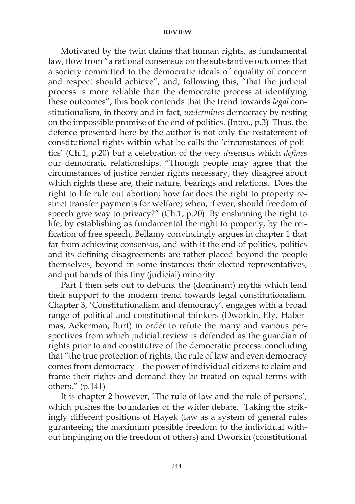Motivated by the twin claims that human rights, as fundamental law, flow from "a rational consensus on the substantive outcomes that a society committed to the democratic ideals of equality of concern and respect should achieve", and, following this, "that the judicial process is more reliable than the democratic process at identifying these outcomes", this book contends that the trend towards *legal* constitutionalism, in theory and in fact, *undermines* democracy by resting on the impossible promise of the end of politics. (Intro., p.3) Thus, the defence presented here by the author is not only the restatement of constitutional rights within what he calls the 'circumstances of politics' (Ch.1, p.20) but a celebration of the very *dis*ensus which *defines*  our democratic relationships. "Though people may agree that the circumstances of justice render rights necessary, they disagree about which rights these are, their nature, bearings and relations. Does the right to life rule out abortion; how far does the right to property restrict transfer payments for welfare; when, if ever, should freedom of speech give way to privacy?" (Ch.1, p.20) By enshrining the right to life, by establishing as fundamental the right to property, by the reification of free speech, Bellamy convincingly argues in chapter 1 that far from achieving consensus, and with it the end of politics, politics and its defining disagreements are rather placed beyond the people themselves, beyond in some instances their elected representatives, and put hands of this tiny (judicial) minority.

Part I then sets out to debunk the (dominant) myths which lend their support to the modern trend towards legal constitutionalism. Chapter 3, 'Constitutionalism and democracy', engages with a broad range of political and constitutional thinkers (Dworkin, Ely, Habermas, Ackerman, Burt) in order to refute the many and various perspectives from which judicial review is defended as the guardian of rights prior to and constitutive of the democratic process: concluding that "the true protection of rights, the rule of law and even democracy comes from democracy – the power of individual citizens to claim and frame their rights and demand they be treated on equal terms with others." (p.141)

It is chapter 2 however, 'The rule of law and the rule of persons', which pushes the boundaries of the wider debate. Taking the strikingly different positions of Hayek (law as a system of general rules guranteeing the maximum possible freedom to the individual without impinging on the freedom of others) and Dworkin (constitutional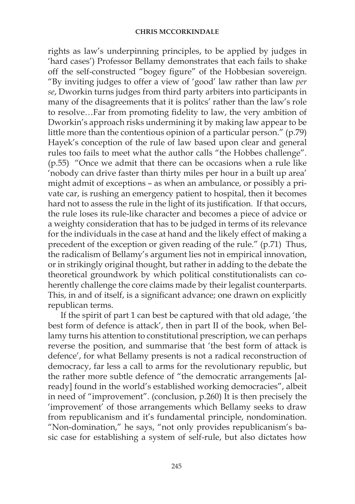rights as law's underpinning principles, to be applied by judges in 'hard cases') Professor Bellamy demonstrates that each fails to shake off the self-constructed "bogey figure" of the Hobbesian sovereign. "By inviting judges to offer a view of 'good' law rather than law *per se*, Dworkin turns judges from third party arbiters into participants in many of the disagreements that it is politcs' rather than the law's role to resolve…Far from promoting fidelity to law, the very ambition of Dworkin's approach risks undermining it by making law appear to be little more than the contentious opinion of a particular person." (p.79) Hayek's conception of the rule of law based upon clear and general rules too fails to meet what the author calls "the Hobbes challenge". (p.55) "Once we admit that there can be occasions when a rule like 'nobody can drive faster than thirty miles per hour in a built up area' might admit of exceptions – as when an ambulance, or possibly a private car, is rushing an emergency patient to hospital, then it becomes hard not to assess the rule in the light of its justification. If that occurs, the rule loses its rule-like character and becomes a piece of advice or a weighty consideration that has to be judged in terms of its relevance for the individuals in the case at hand and the likely effect of making a precedent of the exception or given reading of the rule." (p.71) Thus, the radicalism of Bellamy's argument lies not in empirical innovation, or in strikingly original thought, but rather in adding to the debate the theoretical groundwork by which political constitutionalists can coherently challenge the core claims made by their legalist counterparts. This, in and of itself, is a significant advance; one drawn on explicitly republican terms.

If the spirit of part 1 can best be captured with that old adage, 'the best form of defence is attack', then in part II of the book, when Bellamy turns his attention to constitutional prescription, we can perhaps reverse the position, and summarise that 'the best form of attack is defence', for what Bellamy presents is not a radical reconstruction of democracy, far less a call to arms for the revolutionary republic, but the rather more subtle defence of "the democratic arrangements [already] found in the world's established working democracies", albeit in need of "improvement". (conclusion, p.260) It is then precisely the 'improvement' of those arrangements which Bellamy seeks to draw from republicanism and it's fundamental principle, nondomination. "Non-domination," he says, "not only provides republicanism's basic case for establishing a system of self-rule, but also dictates how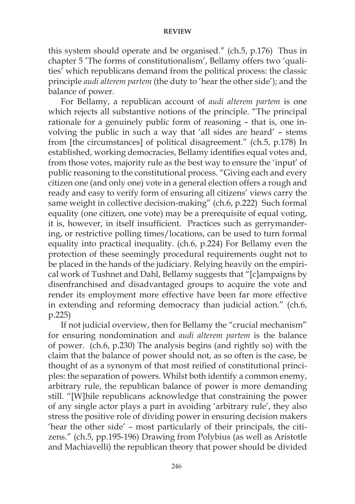this system should operate and be organised." (ch.5, p.176) Thus in chapter 5 'The forms of constitutionalism', Bellamy offers two 'qualities' which republicans demand from the political process: the classic principle *audi alterem partem* (the duty to 'hear the other side'); and the balance of power.

For Bellamy, a republican account of *audi alterem partem* is one which rejects all substantive notions of the principle. "The principal rationale for a genuinely public form of reasoning – that is, one involving the public in such a way that 'all sides are heard' – stems from [the circumstances] of political disagreement." (ch.5, p.178) In established, working democracies, Bellamy identifies equal votes and, from those votes, majority rule as the best way to ensure the 'input' of public reasoning to the constitutional process. "Giving each and every citizen one (and only one) vote in a general election offers a rough and ready and easy to verify form of ensuring all citizens' views carry the same weight in collective decision-making" (ch.6, p.222) Such formal equality (one citizen, one vote) may be a prerequisite of equal voting, it is, however, in itself insufficient. Practices such as gerrymandering, or restrictive polling times/locations, can be used to turn formal equality into practical inequality. (ch.6, p.224) For Bellamy even the protection of these seemingly procedural requirements ought not to be placed in the hands of the judiciary. Relying heavily on the empirical work of Tushnet and Dahl, Bellamy suggests that "[c]ampaigns by disenfranchised and disadvantaged groups to acquire the vote and render its employment more effective have been far more effective in extending and reforming democracy than judicial action." (ch.6, p.225)

If not judicial overview, then for Bellamy the "crucial mechanism" for ensuring nondomination and *audi alterem partem* is the balance of power. (ch.6, p.230) The analysis begins (and rightly so) with the claim that the balance of power should not, as so often is the case, be thought of as a synonym of that most reified of constitutional principles: the separation of powers. Whilst both identify a common enemy, arbitrary rule, the republican balance of power is more demanding still. "[W]hile republicans acknowledge that constraining the power of any single actor plays a part in avoiding 'arbitrary rule', they also stress the positive role of dividing power in ensuring decision makers 'hear the other side' – most particularly of their principals, the citizens." (ch.5, pp.195-196) Drawing from Polybius (as well as Aristotle and Machiavelli) the republican theory that power should be divided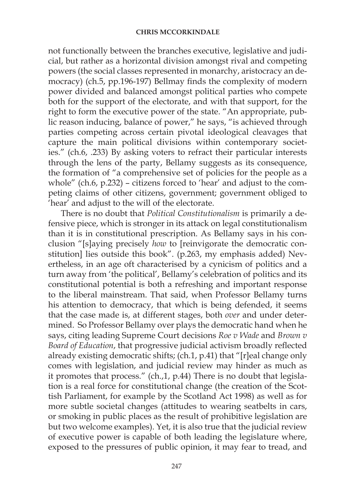not functionally between the branches executive, legislative and judicial, but rather as a horizontal division amongst rival and competing powers (the social classes represented in monarchy, aristocracy an democracy) (ch.5, pp.196-197) Bellmay finds the complexity of modern power divided and balanced amongst political parties who compete both for the support of the electorate, and with that support, for the right to form the executive power of the state. "An appropriate, public reason inducing, balance of power," he says, "is achieved through parties competing across certain pivotal ideological cleavages that capture the main political divisions within contemporary societies." (ch.6, .233) By asking voters to refract their particular interests through the lens of the party, Bellamy suggests as its consequence, the formation of "a comprehensive set of policies for the people as a whole" (ch.6, p.232) – citizens forced to 'hear' and adjust to the competing claims of other citizens, government; government obliged to 'hear' and adjust to the will of the electorate.

There is no doubt that *Political Constitutionalism* is primarily a defensive piece, which is stronger in its attack on legal constitutionalism than it is in constitutional prescription. As Bellamy says in his conclusion "[s]aying precisely *how* to [reinvigorate the democratic constitution] lies outside this book". (p.263, my emphasis added) Nevertheless, in an age oft characterised by a cynicism of politics and a turn away from 'the political', Bellamy's celebration of politics and its constitutional potential is both a refreshing and important response to the liberal mainstream. That said, when Professor Bellamy turns his attention to democracy, that which is being defended, it seems that the case made is, at different stages, both *over* and under determined. So Professor Bellamy over plays the democratic hand when he says, citing leading Supreme Court decisions *Roe v Wade* and *Brown v Board of Education*, that progressive judicial activism broadly reflected already existing democratic shifts; (ch.1, p.41) that "[r]eal change only comes with legislation, and judicial review may hinder as much as it promotes that process." (ch.,1, p.44) There is no doubt that legislation is a real force for constitutional change (the creation of the Scottish Parliament, for example by the Scotland Act 1998) as well as for more subtle societal changes (attitudes to wearing seatbelts in cars, or smoking in public places as the result of prohibitive legislation are but two welcome examples). Yet, it is also true that the judicial review of executive power is capable of both leading the legislature where, exposed to the pressures of public opinion, it may fear to tread, and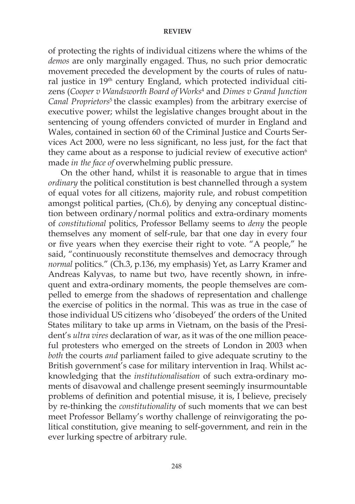of protecting the rights of individual citizens where the whims of the *demos* are only marginally engaged. Thus, no such prior democratic movement preceded the development by the courts of rules of natural justice in 19<sup>th</sup> century England, which protected individual citizens (*Cooper v Wandsworth Board of Works*<sup>4</sup> and *Dimes v Grand Junction*  Canal Proprietors<sup>5</sup> the classic examples) from the arbitrary exercise of executive power; whilst the legislative changes brought about in the sentencing of young offenders convicted of murder in England and Wales, contained in section 60 of the Criminal Justice and Courts Services Act 2000, were no less significant, no less just, for the fact that they came about as a response to judicial review of executive action<sup>6</sup> made *in the face of* overwhelming public pressure.

On the other hand, whilst it is reasonable to argue that in times *ordinary* the political constitution is best channelled through a system of equal votes for all citizens, majority rule, and robust competition amongst political parties, (Ch.6), by denying any conceptual distinction between ordinary/normal politics and extra-ordinary moments of *constitutional* politics, Professor Bellamy seems to *deny* the people themselves any moment of self-rule, bar that one day in every four or five years when they exercise their right to vote. "A people," he said, "continuously reconstitute themselves and democracy through *normal* politics." (Ch.3, p.136, my emphasis) Yet, as Larry Kramer and Andreas Kalyvas, to name but two, have recently shown, in infrequent and extra-ordinary moments, the people themselves are compelled to emerge from the shadows of representation and challenge the exercise of politics in the normal. This was as true in the case of those individual US citizens who 'disobeyed' the orders of the United States military to take up arms in Vietnam, on the basis of the President's *ultra vires* declaration of war, as it was of the one million peaceful protesters who emerged on the streets of London in 2003 when *both* the courts *and* parliament failed to give adequate scrutiny to the British government's case for military intervention in Iraq. Whilst acknowledging that the *institutionalisation* of such extra-ordinary moments of disavowal and challenge present seemingly insurmountable problems of definition and potential misuse, it is, I believe, precisely by re-thinking the *constitutionality* of such moments that we can best meet Professor Bellamy's worthy challenge of reinvigorating the political constitution, give meaning to self-government, and rein in the ever lurking spectre of arbitrary rule.